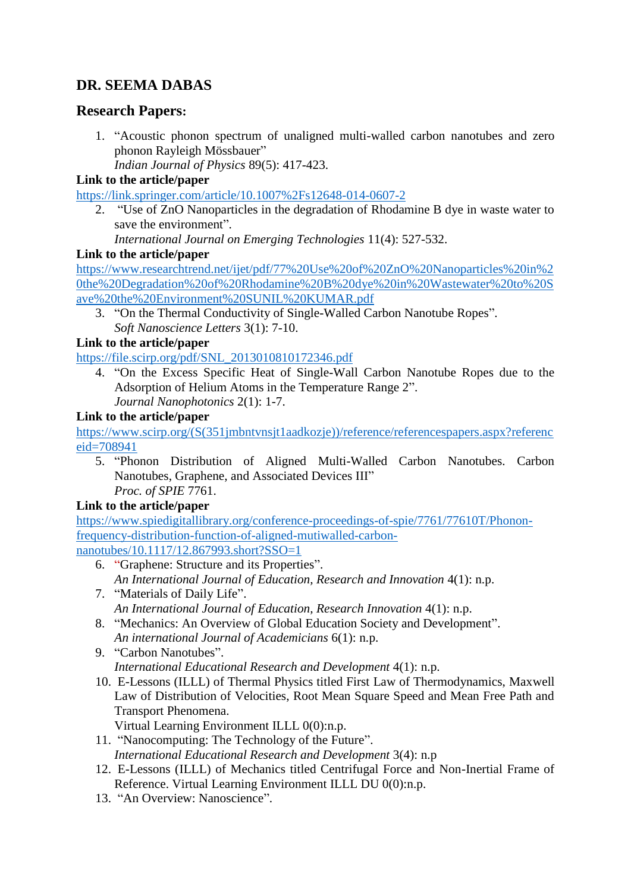# **DR. SEEMA DABAS**

## **Research Papers:**

1. "Acoustic phonon spectrum of unaligned multi-walled carbon nanotubes and zero phonon Rayleigh Mössbauer"

*Indian Journal of Physics* 89(5): 417-423.

#### **Link to the article/paper**

<https://link.springer.com/article/10.1007%2Fs12648-014-0607-2>

2. "Use of ZnO Nanoparticles in the degradation of Rhodamine B dye in waste water to save the environment".

*International Journal on Emerging Technologies* 11(4): 527-532.

#### **Link to the article/paper**

[https://www.researchtrend.net/ijet/pdf/77%20Use%20of%20ZnO%20Nanoparticles%20in%2](https://www.researchtrend.net/ijet/pdf/77%20Use%20of%20ZnO%20Nanoparticles%20in%20the%20Degradation%20of%20Rhodamine%20B%20dye%20in%20Wastewater%20to%20Save%20the%20Environment%20SUNIL%20KUMAR.pdf) [0the%20Degradation%20of%20Rhodamine%20B%20dye%20in%20Wastewater%20to%20S](https://www.researchtrend.net/ijet/pdf/77%20Use%20of%20ZnO%20Nanoparticles%20in%20the%20Degradation%20of%20Rhodamine%20B%20dye%20in%20Wastewater%20to%20Save%20the%20Environment%20SUNIL%20KUMAR.pdf) [ave%20the%20Environment%20SUNIL%20KUMAR.pdf](https://www.researchtrend.net/ijet/pdf/77%20Use%20of%20ZnO%20Nanoparticles%20in%20the%20Degradation%20of%20Rhodamine%20B%20dye%20in%20Wastewater%20to%20Save%20the%20Environment%20SUNIL%20KUMAR.pdf)

3. "On the Thermal Conductivity of Single-Walled Carbon Nanotube Ropes". *Soft Nanoscience Letters* 3(1): 7-10.

### **Link to the article/paper**

[https://file.scirp.org/pdf/SNL\\_2013010810172346.pdf](https://file.scirp.org/pdf/SNL_2013010810172346.pdf)

4. "On the Excess Specific Heat of Single-Wall Carbon Nanotube Ropes due to the Adsorption of Helium Atoms in the Temperature Range 2". *Journal Nanophotonics* 2(1): 1-7.

### **Link to the article/paper**

[https://www.scirp.org/\(S\(351jmbntvnsjt1aadkozje\)\)/reference/referencespapers.aspx?referenc](https://www.scirp.org/(S(351jmbntvnsjt1aadkozje))/reference/referencespapers.aspx?referenceid=708941) [eid=708941](https://www.scirp.org/(S(351jmbntvnsjt1aadkozje))/reference/referencespapers.aspx?referenceid=708941)

5. "Phonon Distribution of Aligned Multi-Walled Carbon Nanotubes. Carbon Nanotubes, Graphene, and Associated Devices III" *Proc. of SPIE* 7761.

### **Link to the article/paper**

[https://www.spiedigitallibrary.org/conference-proceedings-of-spie/7761/77610T/Phonon](https://www.spiedigitallibrary.org/conference-proceedings-of-spie/7761/77610T/Phonon-frequency-distribution-function-of-aligned-mutiwalled-carbon-nanotubes/10.1117/12.867993.short?SSO=1)[frequency-distribution-function-of-aligned-mutiwalled-carbon](https://www.spiedigitallibrary.org/conference-proceedings-of-spie/7761/77610T/Phonon-frequency-distribution-function-of-aligned-mutiwalled-carbon-nanotubes/10.1117/12.867993.short?SSO=1)[nanotubes/10.1117/12.867993.short?SSO=1](https://www.spiedigitallibrary.org/conference-proceedings-of-spie/7761/77610T/Phonon-frequency-distribution-function-of-aligned-mutiwalled-carbon-nanotubes/10.1117/12.867993.short?SSO=1)

- 6. "Graphene: Structure and its Properties". *An International Journal of Education, Research and Innovation* 4(1): n.p.
- 7. "Materials of Daily Life". *An International Journal of Education, Research Innovation* 4(1): n.p.
- 8. "Mechanics: An Overview of Global Education Society and Development". *An international Journal of Academicians* 6(1): n.p.
- 9. "Carbon Nanotubes". *International Educational Research and Development* 4(1): n.p.
- 10. E-Lessons (ILLL) of Thermal Physics titled First Law of Thermodynamics, Maxwell Law of Distribution of Velocities, Root Mean Square Speed and Mean Free Path and Transport Phenomena.

Virtual Learning Environment ILLL 0(0):n.p.

- 11. "Nanocomputing: The Technology of the Future". *International Educational Research and Development* 3(4): n.p
- 12. E-Lessons (ILLL) of Mechanics titled Centrifugal Force and Non-Inertial Frame of Reference. Virtual Learning Environment ILLL DU 0(0):n.p.
- 13. "An Overview: Nanoscience".